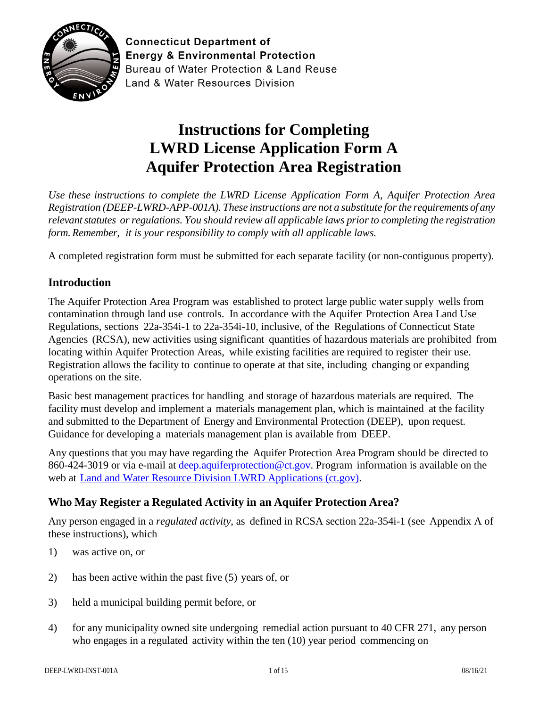

**Connecticut Department of Energy & Environmental Protection** Bureau of Water Protection & Land Reuse **Land & Water Resources Division** 

# **Instructions for Completing LWRD License Application Form A Aquifer Protection Area Registration**

*Use these instructions to complete the LWRD License Application Form A*, *Aquifer Protection Area Registration (DEEP-LWRD-APP-001A). These instructions are not a substitute forthe requirements of any relevantstatutes orregulations. You should review all applicable laws priorto completing the registration form.Remember, it is your responsibility to comply with all applicable laws.*

A completed registration form must be submitted for each separate facility (or non-contiguous property).

## **Introduction**

The Aquifer Protection Area Program was established to protect large public water supply wells from contamination through land use controls. In accordance with the Aquifer Protection Area Land Use Regulations, sections 22a-354i-1 to 22a-354i-10, inclusive, of the Regulations of Connecticut State Agencies (RCSA), new activities using significant quantities of hazardous materials are prohibited from locating within Aquifer Protection Areas, while existing facilities are required to register their use. Registration allows the facility to continue to operate at that site, including changing or expanding operations on the site.

Basic best management practices for handling and storage of hazardous materials are required. The facility must develop and implement a materials management plan, which is maintained at the facility and submitted to the Department of Energy and Environmental Protection (DEEP), upon request. Guidance for developing a materials management plan is available from DEEP.

Any questions that you may have regarding the Aquifer Protection Area Program should be directed to 860-424-3019 or via e-mail at [deep.aquiferprotection@ct.gov.](mailto:deep.aquiferprotection@ct.gov) Program information is available on the web at [Land and Water Resource Division LWRD Applications \(ct.gov\).](https://portal.ct.gov/DEEP/Permits-and-Licenses/Land-and-Water-Resource-Division-LWRD-Applications#APA)

## **Who May Register a Regulated Activity in an Aquifer Protection Area?**

Any person engaged in a *regulated activity*, as defined in RCSA section 22a-354i-1 (see Appendix A of these instructions), which

- 1) was active on, or
- 2) has been active within the past five (5) years of, or
- 3) held a municipal building permit before, or
- 4) for any municipality owned site undergoing remedial action pursuant to 40 CFR 271, any person who engages in a regulated activity within the ten (10) year period commencing on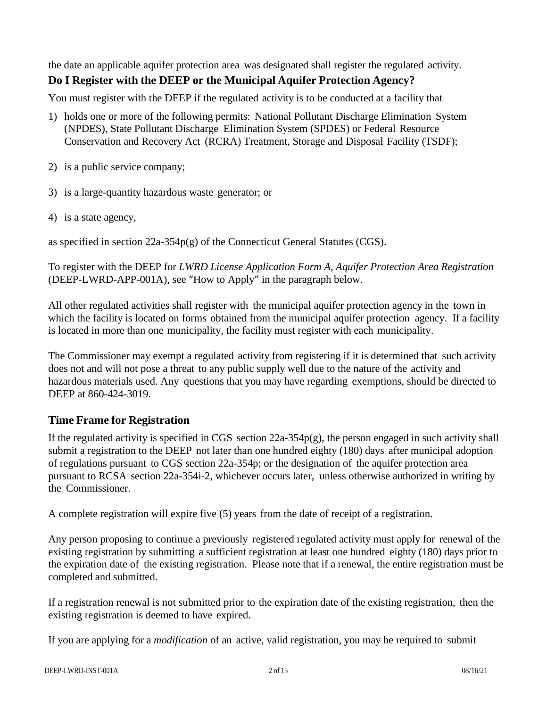the date an applicable aquifer protection area was designated shall register the regulated activity. **Do I Register with the DEEP or the Municipal Aquifer Protection Agency?**

You must register with the DEEP if the regulated activity is to be conducted at a facility that

- 1) holds one or more of the following permits: National Pollutant Discharge Elimination System (NPDES), State Pollutant Discharge Elimination System (SPDES) or Federal Resource Conservation and Recovery Act (RCRA) Treatment, Storage and Disposal Facility (TSDF);
- 2) is a public service company;
- 3) is a large-quantity hazardous waste generator; or
- 4) is a state agency,

as specified in section 22a-354p(g) of the Connecticut General Statutes (CGS).

To register with the DEEP for *LWRD License Application Form A*, *Aquifer Protection Area Registration* (DEEP-LWRD-APP-001A), see "How to Apply" in the paragraph below.

All other regulated activities shall register with the municipal aquifer protection agency in the town in which the facility is located on forms obtained from the municipal aquifer protection agency. If a facility is located in more than one municipality, the facility must register with each municipality.

The Commissioner may exempt a regulated activity from registering if it is determined that such activity does not and will not pose a threat to any public supply well due to the nature of the activity and hazardous materials used. Any questions that you may have regarding exemptions, should be directed to DEEP at 860-424-3019.

## **Time Frame for Registration**

If the regulated activity is specified in CGS section  $22a-354p(g)$ , the person engaged in such activity shall submit a registration to the DEEP not later than one hundred eighty (180) days after municipal adoption of regulations pursuant to CGS section 22a-354p; or the designation of the aquifer protection area pursuant to RCSA section 22a-354i-2, whichever occurs later, unless otherwise authorized in writing by the Commissioner.

A complete registration will expire five (5) years from the date of receipt of a registration.

Any person proposing to continue a previously registered regulated activity must apply for renewal of the existing registration by submitting a sufficient registration at least one hundred eighty (180) days prior to the expiration date of the existing registration. Please note that if a renewal, the entire registration must be completed and submitted.

If a registration renewal is not submitted prior to the expiration date of the existing registration, then the existing registration is deemed to have expired.

If you are applying for a *modification* of an active, valid registration, you may be required to submit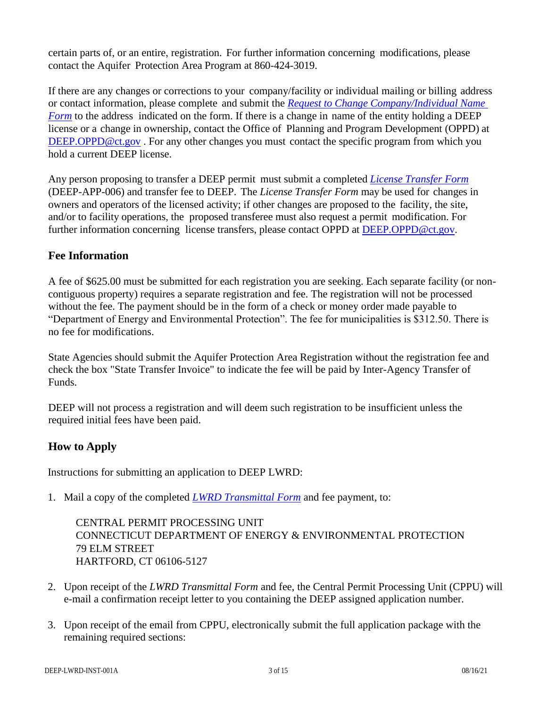certain parts of, or an entire, registration. For further information concerning modifications, please contact the Aquifer Protection Area Program at 860-424-3019.

If there are any changes or corrections to your company/facility or individual mailing or billing address or contact information, please complete and submit the *[Request to Change Company/Individual Name](https://portal.ct.gov/DEEP/Permits-and-Licenses/Common-Forms#changename)  [Form](https://portal.ct.gov/DEEP/Permits-and-Licenses/Common-Forms#changename)* to the address indicated on the form. If there is a change in name of the entity holding a DEEP license or a change in ownership, contact the Office of Planning and Program Development (OPPD) at [DEEP.OPPD@ct.gov](mailto:DEEP.OPPD@ct.gov). For any other changes you must contact the specific program from which you hold a current DEEP license.

Any person proposing to transfer a DEEP permit must submit a completed *License [Transfer Form](https://portal.ct.gov/DEEP/Permits-and-Licenses/Common-Forms#PermitTransfer)* (DEEP-APP-006) and transfer fee to DEEP. The *License Transfer Form* may be used for changes in owners and operators of the licensed activity; if other changes are proposed to the facility, the site, and/or to facility operations, the proposed transferee must also request a permit modification. For further information concerning license transfers, please contact OPPD at [DEEP.OPPD@ct.gov.](mailto:DEEP.OPPD@ct.gov)

## **Fee Information**

A fee of \$625.00 must be submitted for each registration you are seeking. Each separate facility (or noncontiguous property) requires a separate registration and fee. The registration will not be processed without the fee. The payment should be in the form of a check or money order made payable to "Department of Energy and Environmental Protection". The fee for municipalities is \$312.50. There is no fee for modifications.

State Agencies should submit the Aquifer Protection Area Registration without the registration fee and check the box "State Transfer Invoice" to indicate the fee will be paid by Inter-Agency Transfer of Funds.

DEEP will not process a registration and will deem such registration to be insufficient unless the required initial fees have been paid.

## **How to Apply**

Instructions for submitting an application to DEEP LWRD:

1. Mail a copy of the completed *[LWRD Transmittal Form](https://portal.ct.gov/-/media/DEEP/Permits_and_Licenses/Land_Use_Permits/LWRD/transmittalappdoc.doc)* and fee payment, to:

CENTRAL PERMIT PROCESSING UNIT CONNECTICUT DEPARTMENT OF ENERGY & ENVIRONMENTAL PROTECTION 79 ELM STREET HARTFORD, CT 06106-5127

- 2. Upon receipt of the *LWRD Transmittal Form* and fee, the Central Permit Processing Unit (CPPU) will e-mail a confirmation receipt letter to you containing the DEEP assigned application number.
- 3. Upon receipt of the email from CPPU, electronically submit the full application package with the remaining required sections: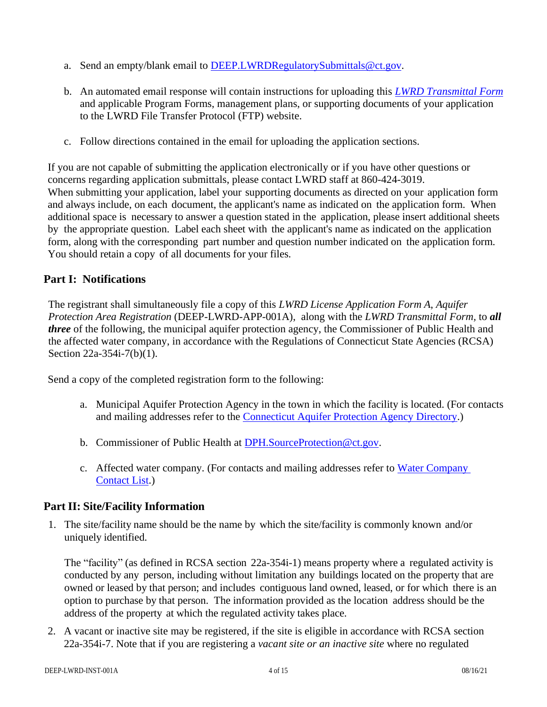- a. Send an empty/blank email to [DEEP.LWRDRegulatorySubmittals@ct.gov.](mailto:DEEP.LWRDRegulatorySubmittals@ct.gov)
- b. An automated email response will contain instructions for uploading this *[LWRD Transmittal Form](https://portal.ct.gov/-/media/DEEP/Permits_and_Licenses/Land_Use_Permits/LWRD/transmittalappdoc.doc)* and applicable Program Forms, management plans, or supporting documents of your application to the LWRD File Transfer Protocol (FTP) website.
- c. Follow directions contained in the email for uploading the application sections.

If you are not capable of submitting the application electronically or if you have other questions or concerns regarding application submittals, please contact LWRD staff at 860-424-3019. When submitting your application, label your supporting documents as directed on your application form and always include, on each document, the applicant's name as indicated on the application form. When additional space is necessary to answer a question stated in the application, please insert additional sheets by the appropriate question. Label each sheet with the applicant's name as indicated on the application form, along with the corresponding part number and question number indicated on the application form. You should retain a copy of all documents for your files.

# **Part I: Notifications**

The registrant shall simultaneously file a copy of this *LWRD License Application Form A*, *Aquifer Protection Area Registration* (DEEP-LWRD-APP-001A), along with the *LWRD Transmittal Form,* to *all three* of the following, the municipal aquifer protection agency, the Commissioner of Public Health and the affected water company, in accordance with the Regulations of Connecticut State Agencies (RCSA) Section 22a-354i-7(b)(1).

Send a copy of the completed registration form to the following:

- a. Municipal Aquifer Protection Agency in the town in which the facility is located. (For contacts and mailing addresses refer to the [Connecticut Aquifer Protection Agency Directory.](https://portal.ct.gov/-/media/DEEP/aquifer_protection/apagencydirectorypdf.pdf?la=en))
- b. Commissioner of Public Health at [DPH.SourceProtection@ct.gov.](mailto:DPH.SourceProtection@ct.gov)
- c. Affected water company. (For contacts and mailing addresses refer to [Water Company](https://portal.ct.gov/-/media/DEEP/aquifer_protection/wtrcocontactlistpdf.pdf?la=en)  [Contact List.](https://portal.ct.gov/-/media/DEEP/aquifer_protection/wtrcocontactlistpdf.pdf?la=en))

## **Part II: Site/Facility Information**

1. The site/facility name should be the name by which the site/facility is commonly known and/or uniquely identified.

The "facility" (as defined in RCSA section 22a-354i-1) means property where a regulated activity is conducted by any person, including without limitation any buildings located on the property that are owned or leased by that person; and includes contiguous land owned, leased, or for which there is an option to purchase by that person. The information provided as the location address should be the address of the property at which the regulated activity takes place.

2. A vacant or inactive site may be registered, if the site is eligible in accordance with RCSA section 22a-354i-7. Note that if you are registering a *vacant site or an inactive site* where no regulated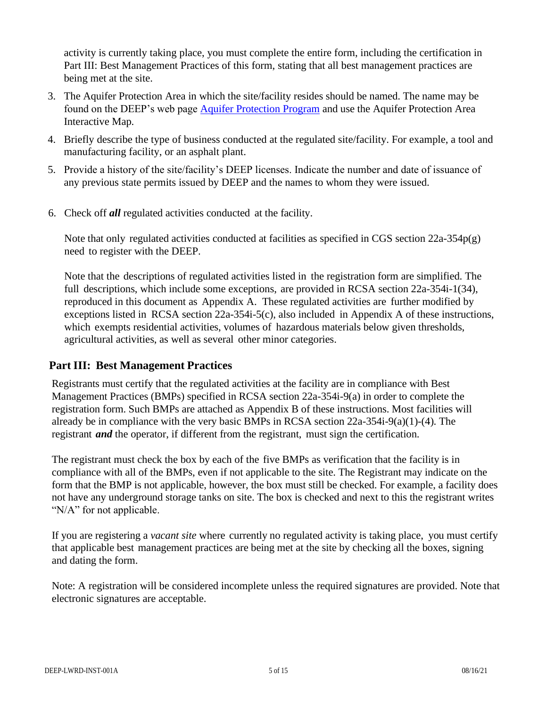activity is currently taking place, you must complete the entire form, including the certification in Part III: Best Management Practices of this form, stating that all best management practices are being met at the site.

- 3. The Aquifer Protection Area in which the site/facility resides should be named. The name may be found on the DEEP's web page [Aquifer Protection Program](https://portal.ct.gov/DEEP/Aquifer-Protection-and-Groundwater/Aquifer-Protection/Aquifer-Protection-Program) and use the Aquifer Protection Area Interactive Map.
- 4. Briefly describe the type of business conducted at the regulated site/facility. For example, a tool and manufacturing facility, or an asphalt plant.
- 5. Provide a history of the site/facility's DEEP licenses. Indicate the number and date of issuance of any previous state permits issued by DEEP and the names to whom they were issued.
- 6. Check off *all* regulated activities conducted at the facility.

Note that only regulated activities conducted at facilities as specified in CGS section 22a-354p(g) need to register with the DEEP.

Note that the descriptions of regulated activities listed in the registration form are simplified. The full descriptions, which include some exceptions, are provided in RCSA section 22a-354i-1(34), reproduced in this document as Appendix A. These regulated activities are further modified by exceptions listed in RCSA section 22a-354i-5(c), also included in Appendix A of these instructions, which exempts residential activities, volumes of hazardous materials below given thresholds, agricultural activities, as well as several other minor categories.

## **Part III: Best Management Practices**

Registrants must certify that the regulated activities at the facility are in compliance with Best Management Practices (BMPs) specified in RCSA section 22a-354i-9(a) in order to complete the registration form. Such BMPs are attached as Appendix B of these instructions. Most facilities will already be in compliance with the very basic BMPs in RCSA section 22a-354i-9(a)(1)-(4). The registrant *and* the operator, if different from the registrant, must sign the certification.

The registrant must check the box by each of the five BMPs as verification that the facility is in compliance with all of the BMPs, even if not applicable to the site. The Registrant may indicate on the form that the BMP is not applicable, however, the box must still be checked. For example, a facility does not have any underground storage tanks on site. The box is checked and next to this the registrant writes "N/A" for not applicable.

If you are registering a *vacant site* where currently no regulated activity is taking place, you must certify that applicable best management practices are being met at the site by checking all the boxes, signing and dating the form.

Note: A registration will be considered incomplete unless the required signatures are provided. Note that electronic signatures are acceptable.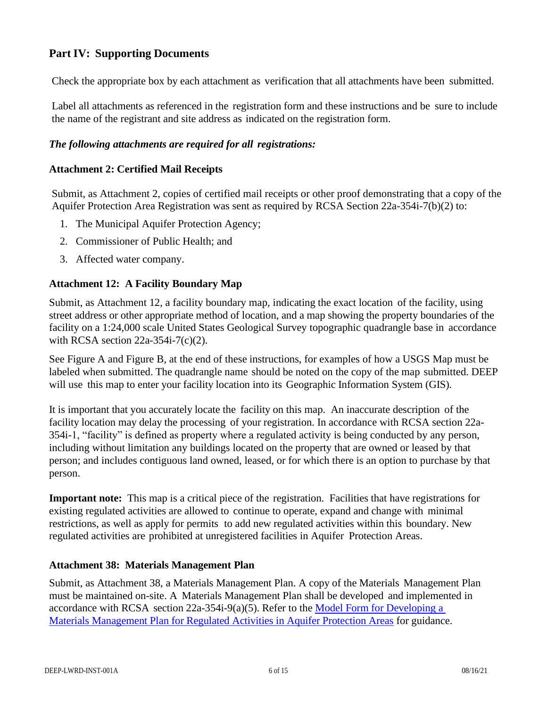# **Part IV: Supporting Documents**

Check the appropriate box by each attachment as verification that all attachments have been submitted.

Label all attachments as referenced in the registration form and these instructions and be sure to include the name of the registrant and site address as indicated on the registration form.

#### *The following attachments are required for all registrations:*

#### **Attachment 2: Certified Mail Receipts**

Submit, as Attachment 2, copies of certified mail receipts or other proof demonstrating that a copy of the Aquifer Protection Area Registration was sent as required by RCSA Section 22a-354i-7(b)(2) to:

- 1. The Municipal Aquifer Protection Agency;
- 2. Commissioner of Public Health; and
- 3. Affected water company.

## **Attachment 12: A Facility Boundary Map**

Submit, as Attachment 12, a facility boundary map, indicating the exact location of the facility, using street address or other appropriate method of location, and a map showing the property boundaries of the facility on a 1:24,000 scale United States Geological Survey topographic quadrangle base in accordance with RCSA section 22a-354i-7(c)(2).

See Figure A and Figure B, at the end of these instructions, for examples of how a USGS Map must be labeled when submitted. The quadrangle name should be noted on the copy of the map submitted. DEEP will use this map to enter your facility location into its Geographic Information System (GIS).

It is important that you accurately locate the facility on this map. An inaccurate description of the facility location may delay the processing of your registration. In accordance with RCSA section 22a-354i-1, "facility" is defined as property where a regulated activity is being conducted by any person, including without limitation any buildings located on the property that are owned or leased by that person; and includes contiguous land owned, leased, or for which there is an option to purchase by that person.

**Important note:** This map is a critical piece of the registration. Facilities that have registrations for existing regulated activities are allowed to continue to operate, expand and change with minimal restrictions, as well as apply for permits to add new regulated activities within this boundary. New regulated activities are prohibited at unregistered facilities in Aquifer Protection Areas.

#### **Attachment 38: Materials Management Plan**

Submit, as Attachment 38, a Materials Management Plan. A copy of the Materials Management Plan must be maintained on-site. A Materials Management Plan shall be developed and implemented in accordance with RCSA section 22a-354i-9(a)(5). Refer to the [Model Form for Developing a](https://portal.ct.gov/-/media/DEEP/aquifer_protection/municipal_manual/ModelMaterialsManagementPlandoc.doc)  [Materials Management Plan for Regulated Activities in Aquifer Protection Areas](https://portal.ct.gov/-/media/DEEP/aquifer_protection/municipal_manual/ModelMaterialsManagementPlandoc.doc) for guidance.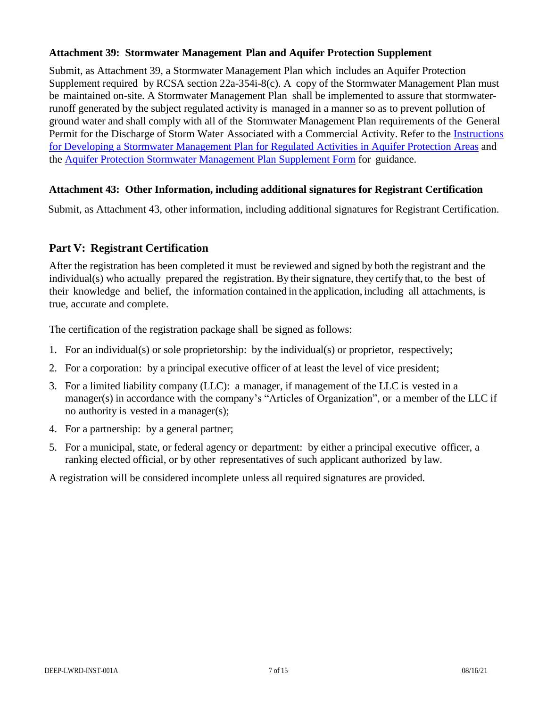#### **Attachment 39: Stormwater Management Plan and Aquifer Protection Supplement**

Submit, as Attachment 39, a Stormwater Management Plan which includes an Aquifer Protection Supplement required by RCSA section 22a-354i-8(c). A copy of the Stormwater Management Plan must be maintained on-site. A Stormwater Management Plan shall be implemented to assure that stormwaterrunoff generated by the subject regulated activity is managed in a manner so as to prevent pollution of ground water and shall comply with all of the Stormwater Management Plan requirements of the General Permit for the Discharge of Storm Water Associated with a Commercial Activity. Refer to the [Instructions](https://portal.ct.gov/-/media/DEEP/aquifer_protection/modelstormwatermgmtplandoc.doc?la=en) for Developing a Stormwater Management Plan for Regulated Activities [in Aquifer Protection](https://portal.ct.gov/-/media/DEEP/aquifer_protection/modelstormwatermgmtplandoc.doc?la=en) Areas and the Aquifer Protection Stormwater Management [Plan Supplement](http://www.ct.gov/deep/lib/deep/aquifer_protection/ap_stormwater_supplement.doc) Form for guidance.

#### **Attachment 43: Other Information, including additional signatures for Registrant Certification**

Submit, as Attachment 43, other information, including additional signatures for Registrant Certification.

## **Part V: Registrant Certification**

After the registration has been completed it must be reviewed and signed by both the registrant and the individual(s) who actually prepared the registration. By their signature, they certify that, to the best of their knowledge and belief, the information contained in the application, including all attachments, is true, accurate and complete.

The certification of the registration package shall be signed as follows:

- 1. For an individual(s) or sole proprietorship: by the individual(s) or proprietor, respectively;
- 2. For a corporation: by a principal executive officer of at least the level of vice president;
- 3. For a limited liability company (LLC): a manager, if management of the LLC is vested in a manager(s) in accordance with the company's "Articles of Organization", or a member of the LLC if no authority is vested in a manager(s);
- 4. For a partnership: by a general partner;
- 5. For a municipal, state, or federal agency or department: by either a principal executive officer, a ranking elected official, or by other representatives of such applicant authorized by law.

A registration will be considered incomplete unless all required signatures are provided.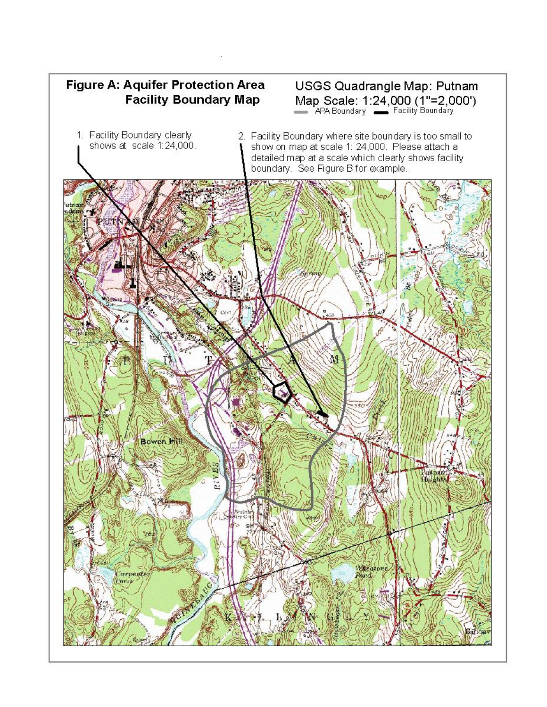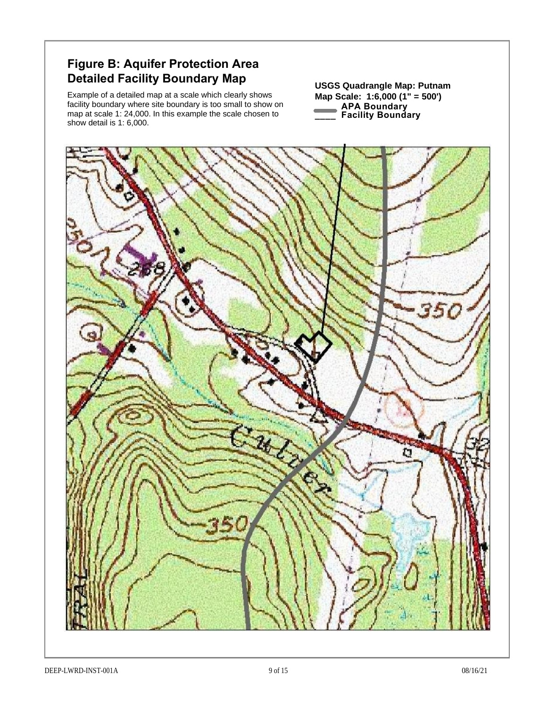# **Figure B: Aquifer Protection Area Detailed Facility Boundary Map** USGS Quadrangle Map: Putnam

Example of a detailed map at a scale which clearly shows facility boundary where site boundary is too small to show on map at scale 1: 24,000. In this example the scale chosen to show detail is 1: 6,000.

**Map Scale: 1:6,000 (1" = 500') APA Boundary \_\_\_\_ Facility Boundary**

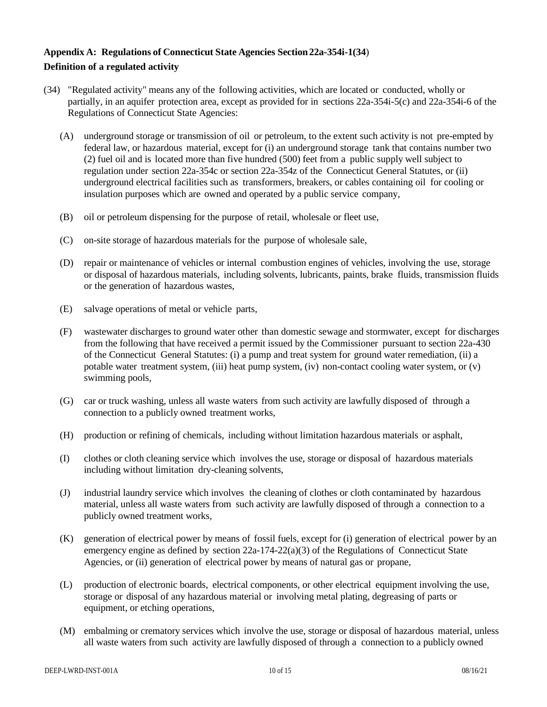#### **Appendix A: Regulations of Connecticut State Agencies Section22a-354i-1(34**) **Definition of a regulated activity**

- (34) "Regulated activity" means any of the following activities, which are located or conducted, wholly or partially, in an aquifer protection area, except as provided for in sections 22a-354i-5(c) and 22a-354i-6 of the Regulations of Connecticut State Agencies:
	- (A) underground storage or transmission of oil or petroleum, to the extent such activity is not pre-empted by federal law, or hazardous material, except for (i) an underground storage tank that contains number two (2) fuel oil and is located more than five hundred (500) feet from a public supply well subject to regulation under section 22a-354c or section 22a-354z of the Connecticut General Statutes, or (ii) underground electrical facilities such as transformers, breakers, or cables containing oil for cooling or insulation purposes which are owned and operated by a public service company,
	- (B) oil or petroleum dispensing for the purpose of retail, wholesale or fleet use,
	- (C) on-site storage of hazardous materials for the purpose of wholesale sale,
	- (D) repair or maintenance of vehicles or internal combustion engines of vehicles, involving the use, storage or disposal of hazardous materials, including solvents, lubricants, paints, brake fluids, transmission fluids or the generation of hazardous wastes,
	- (E) salvage operations of metal or vehicle parts,
	- (F) wastewater discharges to ground water other than domestic sewage and stormwater, except for discharges from the following that have received a permit issued by the Commissioner pursuant to section 22a-430 of the Connecticut General Statutes: (i) a pump and treat system for ground water remediation, (ii) a potable water treatment system, (iii) heat pump system, (iv) non-contact cooling water system, or (v) swimming pools,
	- (G) car or truck washing, unless all waste waters from such activity are lawfully disposed of through a connection to a publicly owned treatment works,
	- (H) production or refining of chemicals, including without limitation hazardous materials or asphalt,
	- (I) clothes or cloth cleaning service which involves the use, storage or disposal of hazardous materials including without limitation dry-cleaning solvents,
	- (J) industrial laundry service which involves the cleaning of clothes or cloth contaminated by hazardous material, unless all waste waters from such activity are lawfully disposed of through a connection to a publicly owned treatment works,
	- (K) generation of electrical power by means of fossil fuels, except for (i) generation of electrical power by an emergency engine as defined by section  $22a-174-22(a)(3)$  of the Regulations of Connecticut State Agencies, or (ii) generation of electrical power by means of natural gas or propane,
	- (L) production of electronic boards, electrical components, or other electrical equipment involving the use, storage or disposal of any hazardous material or involving metal plating, degreasing of parts or equipment, or etching operations,
	- (M) embalming or crematory services which involve the use, storage or disposal of hazardous material, unless all waste waters from such activity are lawfully disposed of through a connection to a publicly owned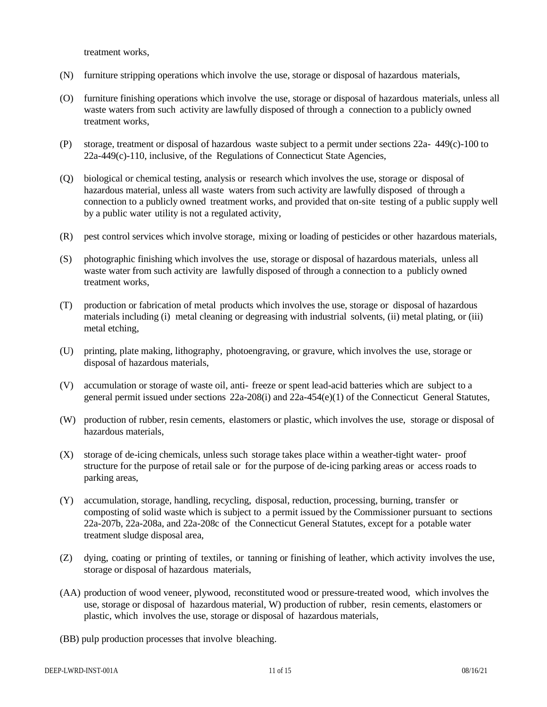treatment works,

- (N) furniture stripping operations which involve the use, storage or disposal of hazardous materials,
- (O) furniture finishing operations which involve the use, storage or disposal of hazardous materials, unless all waste waters from such activity are lawfully disposed of through a connection to a publicly owned treatment works,
- (P) storage, treatment or disposal of hazardous waste subject to a permit under sections 22a- 449(c)-100 to 22a-449(c)-110, inclusive, of the Regulations of Connecticut State Agencies,
- (Q) biological or chemical testing, analysis or research which involves the use, storage or disposal of hazardous material, unless all waste waters from such activity are lawfully disposed of through a connection to a publicly owned treatment works, and provided that on-site testing of a public supply well by a public water utility is not a regulated activity,
- (R) pest control services which involve storage, mixing or loading of pesticides or other hazardous materials,
- (S) photographic finishing which involves the use, storage or disposal of hazardous materials, unless all waste water from such activity are lawfully disposed of through a connection to a publicly owned treatment works,
- (T) production or fabrication of metal products which involves the use, storage or disposal of hazardous materials including (i) metal cleaning or degreasing with industrial solvents, (ii) metal plating, or (iii) metal etching,
- (U) printing, plate making, lithography, photoengraving, or gravure, which involves the use, storage or disposal of hazardous materials,
- (V) accumulation or storage of waste oil, anti- freeze or spent lead-acid batteries which are subject to a general permit issued under sections 22a-208(i) and 22a-454(e)(1) of the Connecticut General Statutes,
- (W) production of rubber, resin cements, elastomers or plastic, which involves the use, storage or disposal of hazardous materials,
- (X) storage of de-icing chemicals, unless such storage takes place within a weather-tight water- proof structure for the purpose of retail sale or for the purpose of de-icing parking areas or access roads to parking areas,
- (Y) accumulation, storage, handling, recycling, disposal, reduction, processing, burning, transfer or composting of solid waste which is subject to a permit issued by the Commissioner pursuant to sections 22a-207b, 22a-208a, and 22a-208c of the Connecticut General Statutes, except for a potable water treatment sludge disposal area,
- (Z) dying, coating or printing of textiles, or tanning or finishing of leather, which activity involves the use, storage or disposal of hazardous materials,
- (AA) production of wood veneer, plywood, reconstituted wood or pressure-treated wood, which involves the use, storage or disposal of hazardous material, W) production of rubber, resin cements, elastomers or plastic, which involves the use, storage or disposal of hazardous materials,
- (BB) pulp production processes that involve bleaching.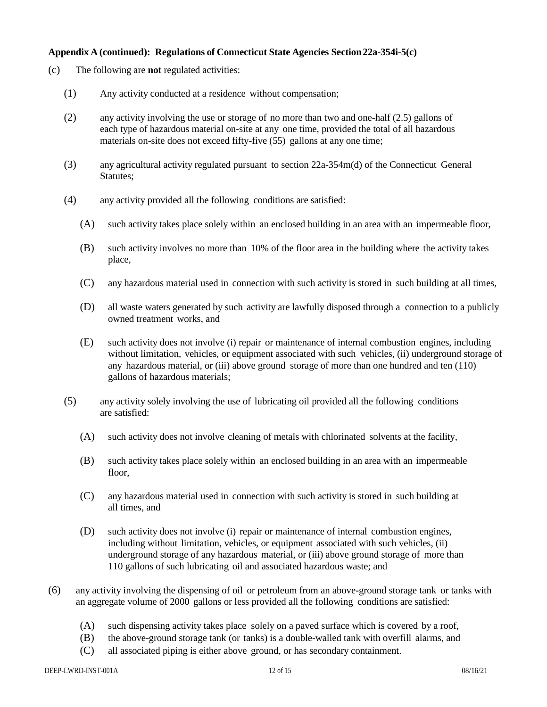#### **Appendix A (continued): Regulations of Connecticut State Agencies Section22a-354i-5(c)**

- (c) The following are **not** regulated activities:
	- (1) Any activity conducted at a residence without compensation;
	- (2) any activity involving the use or storage of no more than two and one-half (2.5) gallons of each type of hazardous material on-site at any one time, provided the total of all hazardous materials on-site does not exceed fifty-five (55) gallons at any one time;
	- (3) any agricultural activity regulated pursuant to section 22a-354m(d) of the Connecticut General Statutes;
	- (4) any activity provided all the following conditions are satisfied:
		- (A) such activity takes place solely within an enclosed building in an area with an impermeable floor,
		- (B) such activity involves no more than 10% of the floor area in the building where the activity takes place,
		- (C) any hazardous material used in connection with such activity is stored in such building at all times,
		- (D) all waste waters generated by such activity are lawfully disposed through a connection to a publicly owned treatment works, and
		- (E) such activity does not involve (i) repair or maintenance of internal combustion engines, including without limitation, vehicles, or equipment associated with such vehicles, (ii) underground storage of any hazardous material, or (iii) above ground storage of more than one hundred and ten (110) gallons of hazardous materials;
	- (5) any activity solely involving the use of lubricating oil provided all the following conditions are satisfied:
		- (A) such activity does not involve cleaning of metals with chlorinated solvents at the facility,
		- (B) such activity takes place solely within an enclosed building in an area with an impermeable floor,
		- (C) any hazardous material used in connection with such activity is stored in such building at all times, and
		- (D) such activity does not involve (i) repair or maintenance of internal combustion engines, including without limitation, vehicles, or equipment associated with such vehicles, (ii) underground storage of any hazardous material, or (iii) above ground storage of more than 110 gallons of such lubricating oil and associated hazardous waste; and
- (6) any activity involving the dispensing of oil or petroleum from an above-ground storage tank or tanks with an aggregate volume of 2000 gallons or less provided all the following conditions are satisfied:
	- (A) such dispensing activity takes place solely on a paved surface which is covered by a roof,
	- (B) the above-ground storage tank (or tanks) is a double-walled tank with overfill alarms, and
	- (C) all associated piping is either above ground, or has secondary containment.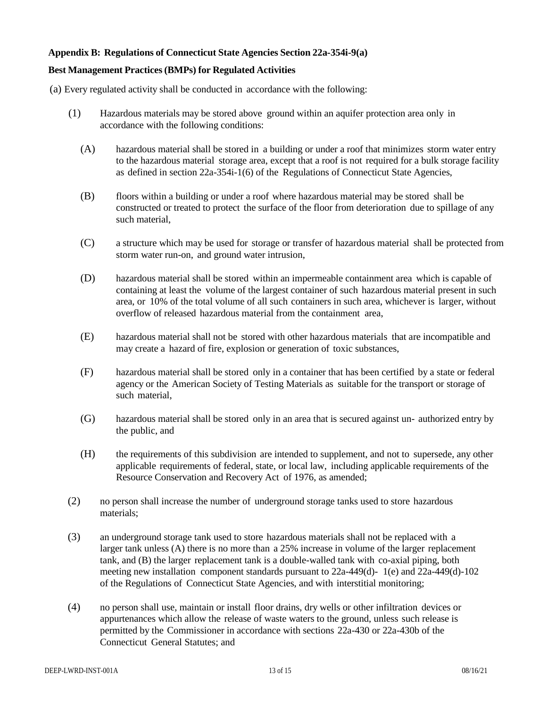#### **Appendix B: Regulations of Connecticut State Agencies Section 22a-354i-9(a)**

## **Best Management Practices(BMPs) for Regulated Activities**

(a) Every regulated activity shall be conducted in accordance with the following:

- (1) Hazardous materials may be stored above ground within an aquifer protection area only in accordance with the following conditions:
	- (A) hazardous material shall be stored in a building or under a roof that minimizes storm water entry to the hazardous material storage area, except that a roof is not required for a bulk storage facility as defined in section 22a-354i-1(6) of the Regulations of Connecticut State Agencies,
	- (B) floors within a building or under a roof where hazardous material may be stored shall be constructed or treated to protect the surface of the floor from deterioration due to spillage of any such material,
	- (C) a structure which may be used for storage or transfer of hazardous material shall be protected from storm water run-on, and ground water intrusion,
	- (D) hazardous material shall be stored within an impermeable containment area which is capable of containing at least the volume of the largest container of such hazardous material present in such area, or 10% of the total volume of all such containers in such area, whichever is larger, without overflow of released hazardous material from the containment area,
	- (E) hazardous material shall not be stored with other hazardous materials that are incompatible and may create a hazard of fire, explosion or generation of toxic substances,
	- (F) hazardous material shall be stored only in a container that has been certified by a state or federal agency or the American Society of Testing Materials as suitable for the transport or storage of such material,
	- (G) hazardous material shall be stored only in an area that is secured against un- authorized entry by the public, and
	- (H) the requirements of this subdivision are intended to supplement, and not to supersede, any other applicable requirements of federal, state, or local law, including applicable requirements of the Resource Conservation and Recovery Act of 1976, as amended;
- (2) no person shall increase the number of underground storage tanks used to store hazardous materials;
- (3) an underground storage tank used to store hazardous materials shall not be replaced with a larger tank unless (A) there is no more than a 25% increase in volume of the larger replacement tank, and (B) the larger replacement tank is a double-walled tank with co-axial piping, both meeting new installation component standards pursuant to 22a-449(d)- 1(e) and 22a-449(d)-102 of the Regulations of Connecticut State Agencies, and with interstitial monitoring;
- (4) no person shall use, maintain or install floor drains, dry wells or other infiltration devices or appurtenances which allow the release of waste waters to the ground, unless such release is permitted by the Commissioner in accordance with sections 22a-430 or 22a-430b of the Connecticut General Statutes; and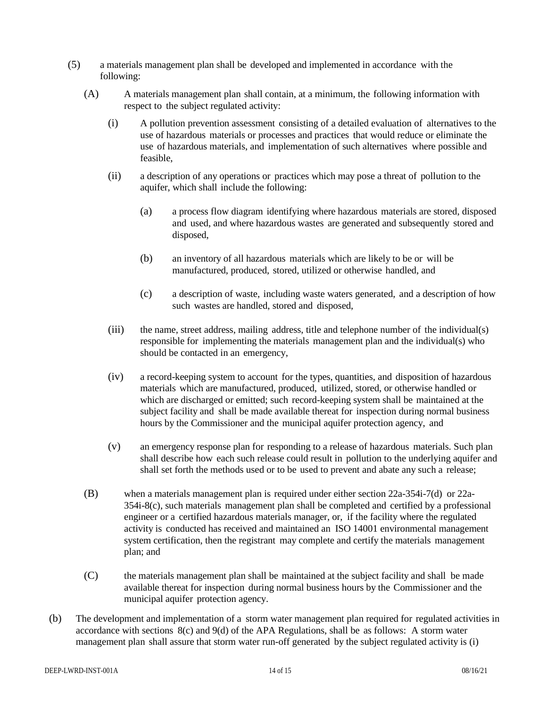- (5) a materials management plan shall be developed and implemented in accordance with the following:
	- (A) A materials management plan shall contain, at a minimum, the following information with respect to the subject regulated activity:
		- (i) A pollution prevention assessment consisting of a detailed evaluation of alternatives to the use of hazardous materials or processes and practices that would reduce or eliminate the use of hazardous materials, and implementation of such alternatives where possible and feasible,
		- (ii) a description of any operations or practices which may pose a threat of pollution to the aquifer, which shall include the following:
			- (a) a process flow diagram identifying where hazardous materials are stored, disposed and used, and where hazardous wastes are generated and subsequently stored and disposed,
			- (b) an inventory of all hazardous materials which are likely to be or will be manufactured, produced, stored, utilized or otherwise handled, and
			- (c) a description of waste, including waste waters generated, and a description of how such wastes are handled, stored and disposed,
		- (iii) the name, street address, mailing address, title and telephone number of the individual(s) responsible for implementing the materials management plan and the individual(s) who should be contacted in an emergency,
		- (iv) a record-keeping system to account for the types, quantities, and disposition of hazardous materials which are manufactured, produced, utilized, stored, or otherwise handled or which are discharged or emitted; such record-keeping system shall be maintained at the subject facility and shall be made available thereat for inspection during normal business hours by the Commissioner and the municipal aquifer protection agency, and
		- (v) an emergency response plan for responding to a release of hazardous materials. Such plan shall describe how each such release could result in pollution to the underlying aquifer and shall set forth the methods used or to be used to prevent and abate any such a release;
	- (B) when a materials management plan is required under either section 22a-354i-7(d) or 22a-354i-8(c), such materials management plan shall be completed and certified by a professional engineer or a certified hazardous materials manager, or, if the facility where the regulated activity is conducted has received and maintained an ISO 14001 environmental management system certification, then the registrant may complete and certify the materials management plan; and
	- (C) the materials management plan shall be maintained at the subject facility and shall be made available thereat for inspection during normal business hours by the Commissioner and the municipal aquifer protection agency.
- (b) The development and implementation of a storm water management plan required for regulated activities in accordance with sections 8(c) and 9(d) of the APA Regulations, shall be as follows: A storm water management plan shall assure that storm water run-off generated by the subject regulated activity is (i)